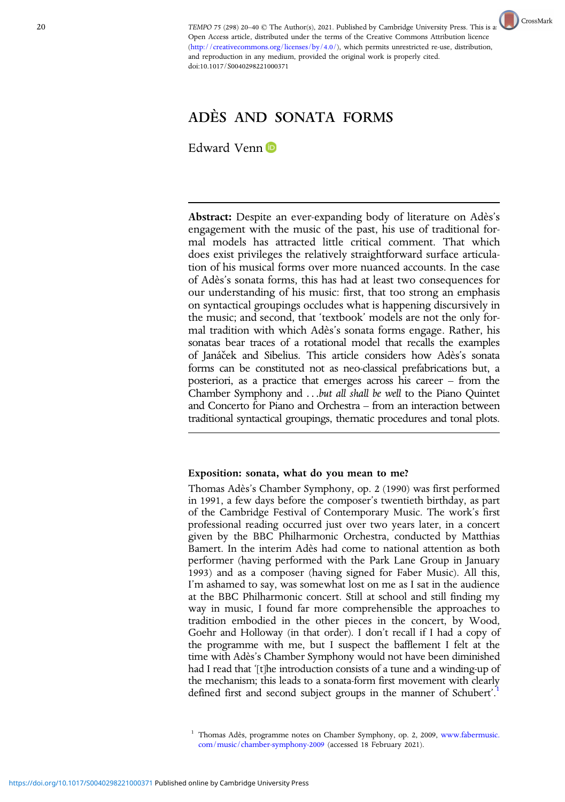TEMPO 75 (298) 20-40  $\odot$  The Author(s), 2021. Published by Cambridge U[n](http://crossmark.crossref.org/dialog?doi=https://doi.org/10.1017/S0040298221000371&domain=pdf)iversity Press. This is an Open Access article, distributed under the terms of the Creative Commons Attribution licence [\(http://creativecommons.org/licenses/by/4.0/](http://creativecommons.org/licenses/by/4.0/)), which permits unrestricted re-use, distribution, and reproduction in any medium, provided the original work is properly cited. doi:10.1017/S0040298221000371



## ADÈS AND SONATA FORMS

Edward Venn

Abstract: Despite an ever-expanding body of literature on Adès's engagement with the music of the past, his use of traditional formal models has attracted little critical comment. That which does exist privileges the relatively straightforward surface articulation of his musical forms over more nuanced accounts. In the case of Adès's sonata forms, this has had at least two consequences for our understanding of his music: first, that too strong an emphasis on syntactical groupings occludes what is happening discursively in the music; and second, that 'textbook' models are not the only formal tradition with which Adès's sonata forms engage. Rather, his sonatas bear traces of a rotational model that recalls the examples of Janáček and Sibelius. This article considers how Adès's sonata forms can be constituted not as neo-classical prefabrications but, a posteriori, as a practice that emerges across his career – from the Chamber Symphony and ...but all shall be well to the Piano Quintet and Concerto for Piano and Orchestra – from an interaction between traditional syntactical groupings, thematic procedures and tonal plots.

## Exposition: sonata, what do you mean to me?

Thomas Adès's Chamber Symphony, op. 2 (1990) was first performed in 1991, a few days before the composer's twentieth birthday, as part of the Cambridge Festival of Contemporary Music. The work's first professional reading occurred just over two years later, in a concert given by the BBC Philharmonic Orchestra, conducted by Matthias Bamert. In the interim Adès had come to national attention as both performer (having performed with the Park Lane Group in January 1993) and as a composer (having signed for Faber Music). All this, I'm ashamed to say, was somewhat lost on me as I sat in the audience at the BBC Philharmonic concert. Still at school and still finding my way in music, I found far more comprehensible the approaches to tradition embodied in the other pieces in the concert, by Wood, Goehr and Holloway (in that order). I don't recall if I had a copy of the programme with me, but I suspect the bafflement I felt at the time with Adès's Chamber Symphony would not have been diminished had I read that '[t]he introduction consists of a tune and a winding-up of the mechanism; this leads to a sonata-form first movement with clearly defined first and second subject groups in the manner of Schubert'.<sup>1</sup>

<sup>&</sup>lt;sup>1</sup> Thomas Adès, programme notes on Chamber Symphony, op. 2, 2009, [www.fabermusic.](https://www.fabermusic.com/music/chamber-symphony-2009) [com/music/chamber-symphony-2009](https://www.fabermusic.com/music/chamber-symphony-2009) (accessed 18 February 2021).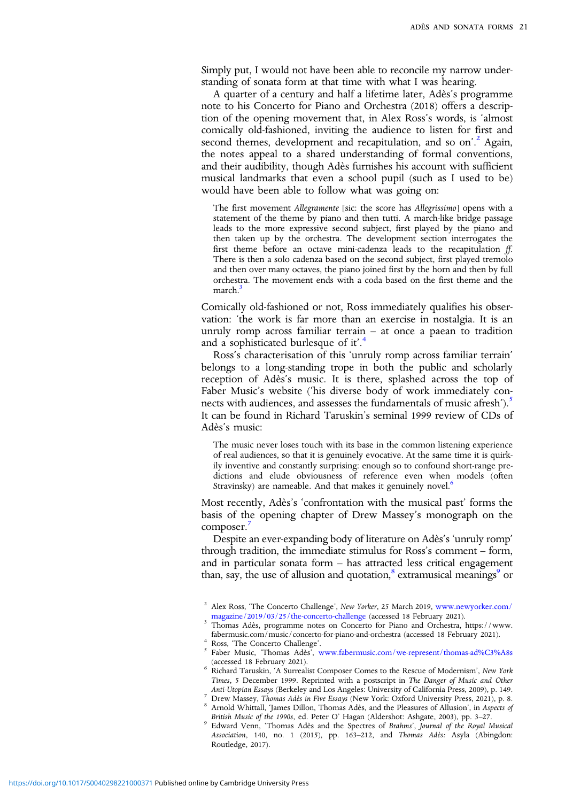Simply put, I would not have been able to reconcile my narrow understanding of sonata form at that time with what I was hearing.

A quarter of a century and half a lifetime later, Adès's programme note to his Concerto for Piano and Orchestra (2018) offers a description of the opening movement that, in Alex Ross's words, is 'almost comically old-fashioned, inviting the audience to listen for first and second themes, development and recapitulation, and so on'.<sup>2</sup> Again, the notes appeal to a shared understanding of formal conventions, and their audibility, though Adès furnishes his account with sufficient musical landmarks that even a school pupil (such as I used to be) would have been able to follow what was going on:

The first movement Allegramente [sic: the score has Allegrissimo] opens with a statement of the theme by piano and then tutti. A march-like bridge passage leads to the more expressive second subject, first played by the piano and then taken up by the orchestra. The development section interrogates the first theme before an octave mini-cadenza leads to the recapitulation ff. There is then a solo cadenza based on the second subject, first played tremolo and then over many octaves, the piano joined first by the horn and then by full orchestra. The movement ends with a coda based on the first theme and the march

Comically old-fashioned or not, Ross immediately qualifies his observation: 'the work is far more than an exercise in nostalgia. It is an unruly romp across familiar terrain – at once a paean to tradition and a sophisticated burlesque of it'.<sup>4</sup>

Ross's characterisation of this 'unruly romp across familiar terrain' belongs to a long-standing trope in both the public and scholarly reception of Adès's music. It is there, splashed across the top of Faber Music's website ('his diverse body of work immediately connects with audiences, and assesses the fundamentals of music afresh').<sup>5</sup> It can be found in Richard Taruskin's seminal 1999 review of CDs of Adès's music:

The music never loses touch with its base in the common listening experience of real audiences, so that it is genuinely evocative. At the same time it is quirkily inventive and constantly surprising: enough so to confound short-range predictions and elude obviousness of reference even when models (often Stravinsky) are nameable. And that makes it genuinely novel.<sup>6</sup>

Most recently, Adès's 'confrontation with the musical past' forms the basis of the opening chapter of Drew Massey's monograph on the composer.

Despite an ever-expanding body of literature on Adès's 'unruly romp' through tradition, the immediate stimulus for Ross's comment – form, and in particular sonata form – has attracted less critical engagement than, say, the use of allusion and quotation,<sup>8</sup> extramusical meanings<sup>9</sup> or

- (accessed 18 February 2021). <sup>6</sup> Richard Taruskin, 'A Surrealist Composer Comes to the Rescue of Modernism', New York Times, 5 December 1999. Reprinted with a postscript in The Danger of Music and Other<br>Anti-Utopian Essays (Berkeley and Los Angeles: University of California Press, 2009), p. 149.
- The University Thomas Ades in Five Essays (New York: Oxford University Press, 2021), p. 8.<br><sup>8</sup> Arnold Whittall, James Dillon, Thomas Adès, and the Pleasures of Allusion', in Aspects of<br>British Music of the 1990s, ed. Peter
- British Music of the 1990s, ed. Peter O' Hagan (Aldershot: Aldershot: Ashgate, 2003), pp. 3–27. 9 Edward Venn, 'Thomas Adès and the Spectres of Brahms', Journal of the Royal Musical Association, 140, no. 1 (2015), pp. 163–212, and Thomas Adès: Asyla (Abingdon: Routledge, 2017).

 $^2$  Alex Ross, 'The Concerto Challenge', *New Yorker, 25* March 2019, [www.newyorker.com/](https://www.newyorker.com/magazine/2019/03/25/the-concerto-challenge) magazine/2019/03/25/the-concerto-challenge (accessed 18 February 2021).

<sup>&</sup>lt;sup>3</sup> Thomas Adès, programme notes on Concerto for Piano and Orchestra, https://www.<br>fabermusic.com/music/concerto-for-piano-and-orchestra (accessed 18 February 2021).

fabermusic.com/music/concerto-challenge'.<br>
Faber Music, 'Thomas Adès', [www.fabermusic.com/we-represent/thomas-ad%C3%A8s](https://www.fabermusic.com/we-represent/thomas-ad%C3%A8s)<br>
(accessed 18 February 2021).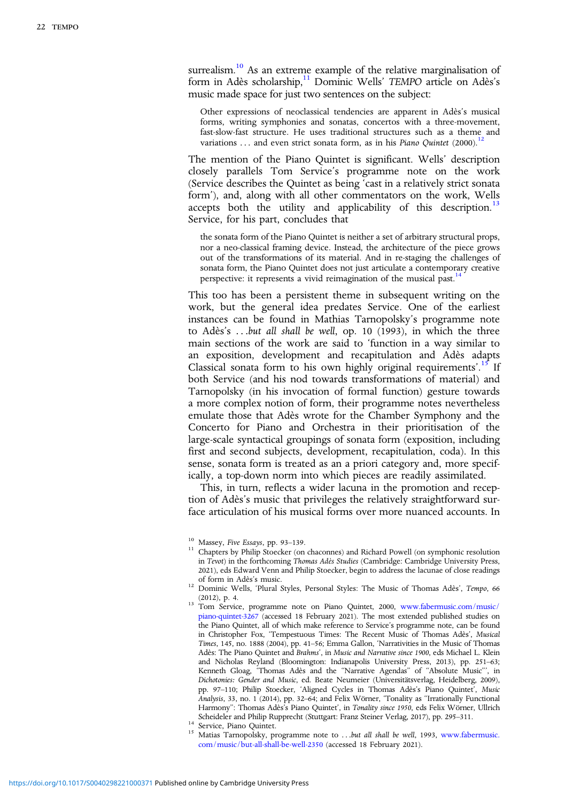surrealism.<sup>10</sup> As an extreme example of the relative marginalisation of form in Adès scholarship,<sup>11</sup> Dominic Wells' TEMPO article on Adès's music made space for just two sentences on the subject:

Other expressions of neoclassical tendencies are apparent in Adès's musical forms, writing symphonies and sonatas, concertos with a three-movement, fast-slow-fast structure. He uses traditional structures such as a theme and variations ... and even strict sonata form, as in his Piano Quintet (2000).<sup>12</sup>

The mention of the Piano Quintet is significant. Wells' description closely parallels Tom Service's programme note on the work (Service describes the Quintet as being 'cast in a relatively strict sonata form'), and, along with all other commentators on the work, Wells accepts both the utility and applicability of this description.<sup>13</sup> Service, for his part, concludes that

the sonata form of the Piano Quintet is neither a set of arbitrary structural props, nor a neo-classical framing device. Instead, the architecture of the piece grows out of the transformations of its material. And in re-staging the challenges of sonata form, the Piano Quintet does not just articulate a contemporary creative perspective: it represents a vivid reimagination of the musical past.<sup>1</sup>

This too has been a persistent theme in subsequent writing on the work, but the general idea predates Service. One of the earliest instances can be found in Mathias Tarnopolsky's programme note to Adès's ...but all shall be well, op. 10 (1993), in which the three main sections of the work are said to 'function in a way similar to an exposition, development and recapitulation and Adès adapts Classical sonata form to his own highly original requirements'.<sup>15</sup> If both Service (and his nod towards transformations of material) and Tarnopolsky (in his invocation of formal function) gesture towards a more complex notion of form, their programme notes nevertheless emulate those that Adès wrote for the Chamber Symphony and the Concerto for Piano and Orchestra in their prioritisation of the large-scale syntactical groupings of sonata form (exposition, including first and second subjects, development, recapitulation, coda). In this sense, sonata form is treated as an a priori category and, more specifically, a top-down norm into which pieces are readily assimilated.

This, in turn, reflects a wider lacuna in the promotion and reception of Adès's music that privileges the relatively straightforward surface articulation of his musical forms over more nuanced accounts. In

Scheideler and Philip Rupprecht (Stuttgart: Franz Steiner Verlag, 2017), pp. 2017<br>
<sup>14</sup> Service, Piano Quintet. 15<br>
<sup>15</sup> Matias Tarnopolsky, programme note to ...but all shall be well, 1993, [www.fabermusic.](https://www.fabermusic.com/music/but-all-shall-be-well-2350) [com/music/but-all-shall-be-well-2350](https://www.fabermusic.com/music/but-all-shall-be-well-2350) (accessed 18 February 2021).

 $^{10}\,$  Massey, Five Essays, pp. 93–139. 113 Chapters by Philip Stoecker (on chaconnes) and Richard Powell (on symphonic resolution in Tevot) in the forthcoming Thomas Adès Studies (Cambridge: Cambridge University Press, 2021), eds Edward Venn and Philip Stoecker, begin to address the lacunae of close readings

of form in Adès's music.<br>
12 Dominic Wells, 'Plural Styles, Personal Styles: The Music of Thomas Adès', Tempo, 66<br>
(2012), p. 4.

<sup>&</sup>lt;sup>13</sup> Tom Service, programme note on Piano Quintet, 2000, [www.fabermusic.com/music/](https://www.fabermusic.com/music/piano-quintet-3267) [piano-quintet-3267](https://www.fabermusic.com/music/piano-quintet-3267) (accessed 18 February 2021). The most extended published studies on the Piano Quintet, all of which make reference to Service's programme note, can be found in Christopher Fox, 'Tempestuous Times: The Recent Music of Thomas Adès', Musical Times, 145, no. 1888 (2004), pp. 41–56; Emma Gallon, 'Narrativities in the Music of Thomas Adès: The Piano Quintet and Brahms', in Music and Narrative since 1900, eds Michael L. Klein and Nicholas Reyland (Bloomington: Indianapolis University Press, 2013), pp. 251–63; Kenneth Gloag, 'Thomas Adès and the "Narrative Agendas" of "Absolute Music"', in Dichotonies: Gender and Music, ed. Beate Neumeier (Universitätsverlag, Heidelberg, 2009), pp. 97–110; Philip Stoecker, 'Aligned Cycles in Thomas Adès's Piano Quintet', Music Analysis, 33, no. 1 (2014), pp. 32–64; and Felix Wörner, 'Tonality as "Irrationally Functional Harmony": Thomas Adès's Piano Quintet', in Tonality since 1950, eds Felix Wörner, Ullrich Scheideler and Philip Rupprecht (Stuttgart: Franz Steiner Verlag, 2017), pp. 295-311.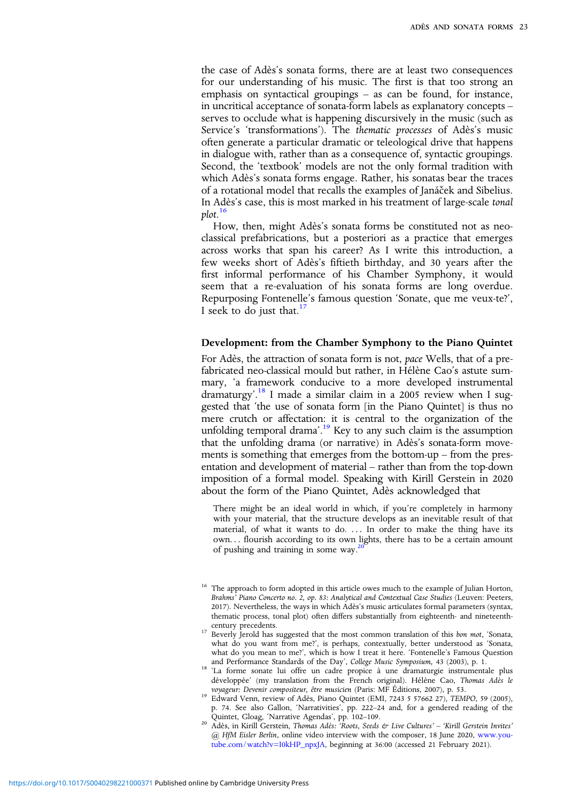the case of Adès's sonata forms, there are at least two consequences for our understanding of his music. The first is that too strong an emphasis on syntactical groupings – as can be found, for instance, in uncritical acceptance of sonata-form labels as explanatory concepts – serves to occlude what is happening discursively in the music (such as Service's 'transformations'). The thematic processes of Adès's music often generate a particular dramatic or teleological drive that happens in dialogue with, rather than as a consequence of, syntactic groupings. Second, the 'textbook' models are not the only formal tradition with which Adès's sonata forms engage. Rather, his sonatas bear the traces of a rotational model that recalls the examples of Janáček and Sibelius. In Adès's case, this is most marked in his treatment of large-scale tonal plot. 16

How, then, might Adès's sonata forms be constituted not as neoclassical prefabrications, but a posteriori as a practice that emerges across works that span his career? As I write this introduction, a few weeks short of Adès's fiftieth birthday, and 30 years after the first informal performance of his Chamber Symphony, it would seem that a re-evaluation of his sonata forms are long overdue. Repurposing Fontenelle's famous question 'Sonate, que me veux-te?', I seek to do just that. $17$ 

## Development: from the Chamber Symphony to the Piano Quintet

For Adès, the attraction of sonata form is not, pace Wells, that of a prefabricated neo-classical mould but rather, in Hélène Cao's astute summary, 'a framework conducive to a more developed instrumental dramaturgy'.<sup>18</sup> I made a similar claim in a 2005 review when I suggested that 'the use of sonata form [in the Piano Quintet] is thus no mere crutch or affectation: it is central to the organization of the unfolding temporal drama'.<sup>19</sup> Key to any such claim is the assumption that the unfolding drama (or narrative) in Adès's sonata-form movements is something that emerges from the bottom-up – from the presentation and development of material – rather than from the top-down imposition of a formal model. Speaking with Kirill Gerstein in 2020 about the form of the Piano Quintet, Adès acknowledged that

There might be an ideal world in which, if you're completely in harmony with your material, that the structure develops as an inevitable result of that material, of what it wants to do. ... In order to make the thing have its own... flourish according to its own lights, there has to be a certain amount of pushing and training in some way.<sup>2</sup>

<sup>&</sup>lt;sup>16</sup> The approach to form adopted in this article owes much to the example of Julian Horton, Brahms' Piano Concerto no. 2, op. 83: Analytical and Contextual Case Studies (Leuven: Peeters, 2017). Nevertheless, the ways in which Adès's music articulates formal parameters (syntax, thematic process, tonal plot) often differs substantially from eighteenth- and nineteenth-

<sup>&</sup>lt;sup>17</sup> Beverly Jerold has suggested that the most common translation of this *bon mot*, 'Sonata, what do you want from me?', is perhaps, contextually, better understood as 'Sonata, what do you mean to me?', which is how I treat it here. 'Fontenelle's Famous Question

and Performance Standards of the Day', College Music Symposium, 43 (2003), p. 1. <sup>18</sup> 'La forme sonate lui offre un cadre propice à une dramaturgie instrumentale plus développée' (my translation from the French original). Hélène Cao, Thomas Adès le voyageur: Devenir compositeur, être musicien (Paris: MF Éditions, 2007), p. 53.

 $\frac{19}{2}$  Edward Venn, review of Adès, Piano Quintet (EMI, 7243 5 57662 27), TEMPO, 59 (2005), p. 74. See also Gallon, 'Narrativities', pp. 222–24 and, for a gendered reading of the Quintet, Gloag, 'Narrative Agendas', pp. 102–109.<br><sup>20</sup> Adès, in Kirill Gerstein, *Thomas Adès: 'Roots, Seeds & Live Cultures'* – 'Kirill Gerstein Invites'

<sup>@</sup> HfM Eisler Berlin, online video interview with the composer, 18 June 2020, [www.you](https://www.youtube.com/watch?v=I0kHP_npxJA)[tube.com/watch?v=I0kHP\\_npxJA,](https://www.youtube.com/watch?v=I0kHP_npxJA) beginning at 36:00 (accessed 21 February 2021).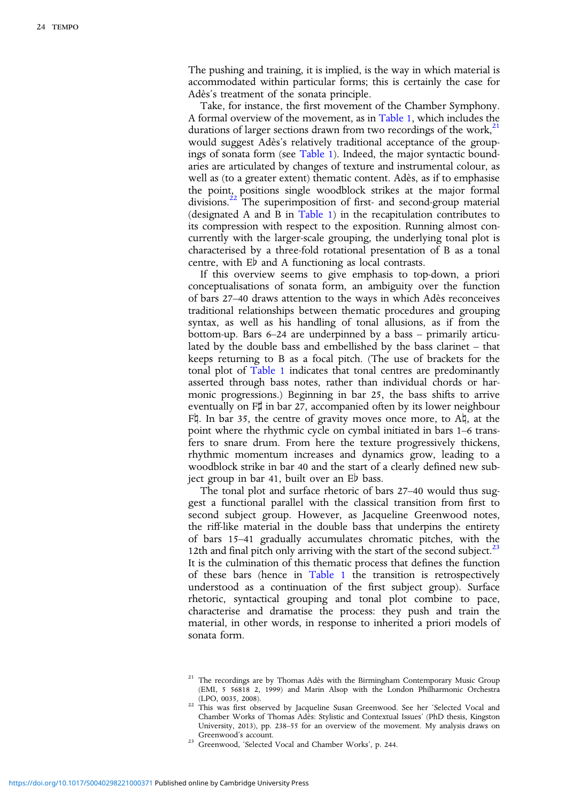The pushing and training, it is implied, is the way in which material is accommodated within particular forms; this is certainly the case for Adès's treatment of the sonata principle.

Take, for instance, the first movement of the Chamber Symphony. A formal overview of the movement, as in [Table 1,](#page-5-0) which includes the durations of larger sections drawn from two recordings of the work, $^{21}$ would suggest Adès's relatively traditional acceptance of the groupings of sonata form (see [Table 1](#page-5-0)). Indeed, the major syntactic boundaries are articulated by changes of texture and instrumental colour, as well as (to a greater extent) thematic content. Adès, as if to emphasise the point, positions single woodblock strikes at the major formal divisions.<sup>22</sup> The superimposition of first- and second-group material (designated A and B in [Table 1\)](#page-5-0) in the recapitulation contributes to its compression with respect to the exposition. Running almost concurrently with the larger-scale grouping, the underlying tonal plot is characterised by a three-fold rotational presentation of B as a tonal centre, with E♭ and A functioning as local contrasts.

If this overview seems to give emphasis to top-down, a priori conceptualisations of sonata form, an ambiguity over the function of bars 27–40 draws attention to the ways in which Adès reconceives traditional relationships between thematic procedures and grouping syntax, as well as his handling of tonal allusions, as if from the bottom-up. Bars 6–24 are underpinned by a bass – primarily articulated by the double bass and embellished by the bass clarinet – that keeps returning to B as a focal pitch. (The use of brackets for the tonal plot of [Table 1](#page-5-0) indicates that tonal centres are predominantly asserted through bass notes, rather than individual chords or harmonic progressions.) Beginning in bar 25, the bass shifts to arrive eventually on F♯ in bar 27, accompanied often by its lower neighbour F♮. In bar 35, the centre of gravity moves once more, to A♮, at the point where the rhythmic cycle on cymbal initiated in bars 1–6 transfers to snare drum. From here the texture progressively thickens, rhythmic momentum increases and dynamics grow, leading to a woodblock strike in bar 40 and the start of a clearly defined new subject group in bar 41, built over an E♭ bass.

The tonal plot and surface rhetoric of bars 27–40 would thus suggest a functional parallel with the classical transition from first to second subject group. However, as Jacqueline Greenwood notes, the riff-like material in the double bass that underpins the entirety of bars 15–41 gradually accumulates chromatic pitches, with the 12th and final pitch only arriving with the start of the second subject. $23$ It is the culmination of this thematic process that defines the function of these bars (hence in [Table 1](#page-5-0) the transition is retrospectively understood as a continuation of the first subject group). Surface rhetoric, syntactical grouping and tonal plot combine to pace, characterise and dramatise the process: they push and train the material, in other words, in response to inherited a priori models of sonata form.

23 Greenwood, 'Selected Vocal and Chamber Works', p. 244.

<sup>&</sup>lt;sup>21</sup> The recordings are by Thomas Adès with the Birmingham Contemporary Music Group (EMI, 5 56818 2, 1999) and Marin Alsop with the London Philharmonic Orchestra

<sup>&</sup>lt;sup>22</sup> This was first observed by Jacqueline Susan Greenwood. See her 'Selected Vocal and Chamber Works of Thomas Adès: Stylistic and Contextual Issues' (PhD thesis, Kingston University, 2013), pp. 238–55 for an overview of the movement. My analysis draws on Greenwood's account.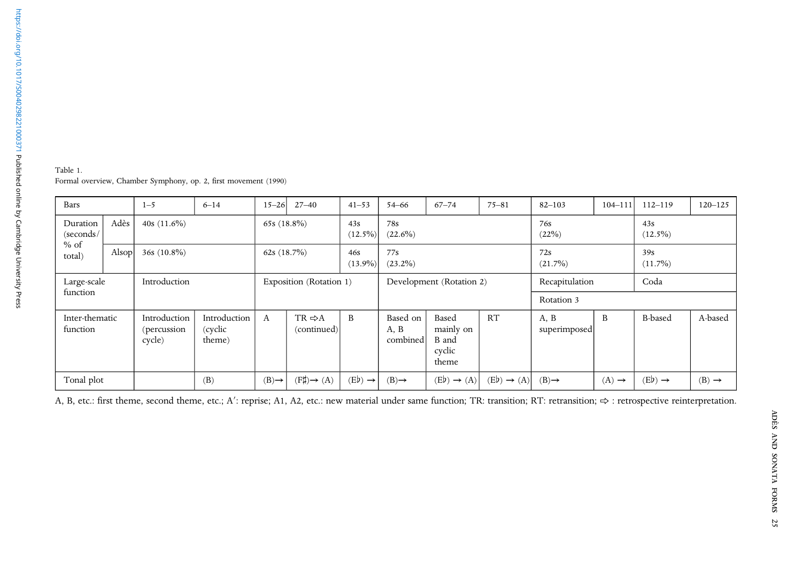<span id="page-5-0"></span>

| 1998171000371 Bishipish Bishipish American American American American American American American American American | Table 1.<br>Formal overv:                 |
|--------------------------------------------------------------------------------------------------------------------|-------------------------------------------|
|                                                                                                                    | Bars                                      |
|                                                                                                                    | Duration<br>(seconds/<br>$%$ of<br>total) |
|                                                                                                                    | Large-scal<br>function                    |
|                                                                                                                    | Inter-then                                |

riew, Chamber Symphony, op. 2, first movement (1990)

| Bars                       |       | $1 - 5$                                | $6 - 14$                          | $15 - 26$                                                | $27 - 40$                         | $41 - 53$         | $54 - 66$                    | $67 - 74$                                      | $75 - 81$ | $82 - 103$           | $104 - 111$       | $112 - 119$       | $120 - 125$ |
|----------------------------|-------|----------------------------------------|-----------------------------------|----------------------------------------------------------|-----------------------------------|-------------------|------------------------------|------------------------------------------------|-----------|----------------------|-------------------|-------------------|-------------|
| Duration<br>(seconds/      | Adès  | 40s $(11.6\%)$                         |                                   | 65s $(18.8\%)$                                           |                                   | 43s<br>$(12.5\%)$ | 78s<br>$(22.6\%)$            |                                                |           | 76s<br>$(22\%)$      |                   | 43s<br>$(12.5\%)$ |             |
| $%$ of<br>total)           | Alsop | $36s(10.8\%)$                          |                                   | 62s $(18.7\%)$<br>77s<br>46s<br>$(13.9\%)$<br>$(23.2\%)$ |                                   |                   |                              |                                                |           | 72s<br>$(21.7\%)$    | 39s<br>$(11.7\%)$ |                   |             |
| Large-scale                |       | Introduction                           |                                   |                                                          | Exposition (Rotation 1)           |                   |                              | Development (Rotation 2)                       |           | Recapitulation       |                   | Coda              |             |
| function                   |       |                                        |                                   |                                                          |                                   |                   |                              |                                                |           | Rotation 3           |                   |                   |             |
|                            |       |                                        |                                   |                                                          |                                   |                   |                              |                                                |           |                      |                   |                   |             |
| Inter-thematic<br>function |       | Introduction<br>(percussion)<br>cycle) | Introduction<br>(cyclic<br>theme) | А                                                        | $TR \Rightarrow A$<br>(continued) | <sup>B</sup>      | Based on<br>A, B<br>combined | Based<br>mainly on<br>B and<br>cyclic<br>theme | RT        | A, B<br>superimposed | B                 | <b>B-based</b>    | A-based     |

A, B, etc.: first theme, second theme, etc.; A': reprise; A1, A2, etc.: new material under same function; TR: transition; RT: retransition; ⇒ : retrospective reinterpretation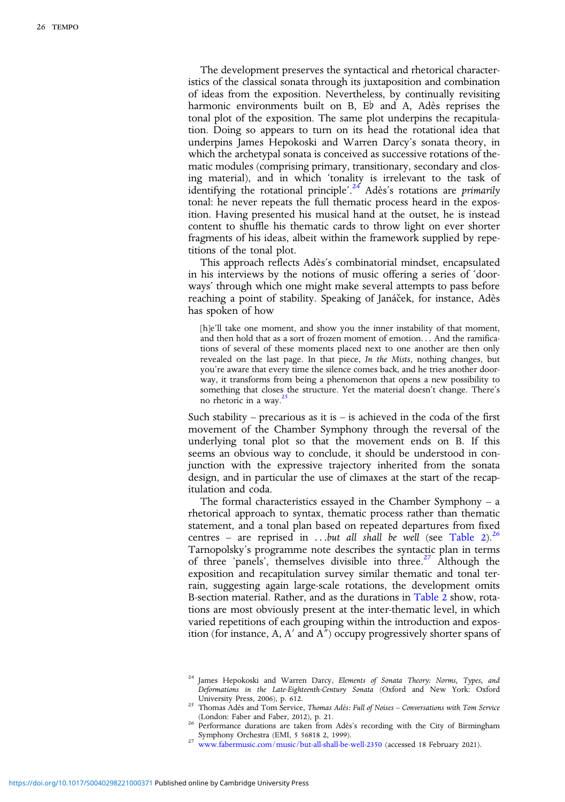The development preserves the syntactical and rhetorical characteristics of the classical sonata through its juxtaposition and combination of ideas from the exposition. Nevertheless, by continually revisiting harmonic environments built on B, E♭ and A, Adès reprises the tonal plot of the exposition. The same plot underpins the recapitulation. Doing so appears to turn on its head the rotational idea that underpins James Hepokoski and Warren Darcy's sonata theory, in which the archetypal sonata is conceived as successive rotations of thematic modules (comprising primary, transitionary, secondary and closing material), and in which 'tonality is irrelevant to the task of identifying the rotational principle'.<sup>24</sup> Adès's rotations are *primarily* tonal: he never repeats the full thematic process heard in the exposition. Having presented his musical hand at the outset, he is instead content to shuffle his thematic cards to throw light on ever shorter fragments of his ideas, albeit within the framework supplied by repetitions of the tonal plot.

This approach reflects Adès's combinatorial mindset, encapsulated in his interviews by the notions of music offering a series of 'doorways' through which one might make several attempts to pass before reaching a point of stability. Speaking of Janáček, for instance, Adès has spoken of how

[h]e'll take one moment, and show you the inner instability of that moment, and then hold that as a sort of frozen moment of emotion... And the ramifications of several of these moments placed next to one another are then only revealed on the last page. In that piece, In the Mists, nothing changes, but you're aware that every time the silence comes back, and he tries another doorway, it transforms from being a phenomenon that opens a new possibility to something that closes the structure. Yet the material doesn't change. There's no rhetoric in a way.<sup>2</sup>

Such stability – precarious as it is – is achieved in the coda of the first movement of the Chamber Symphony through the reversal of the underlying tonal plot so that the movement ends on B. If this seems an obvious way to conclude, it should be understood in conjunction with the expressive trajectory inherited from the sonata design, and in particular the use of climaxes at the start of the recapitulation and coda.

The formal characteristics essayed in the Chamber Symphony – a rhetorical approach to syntax, thematic process rather than thematic statement, and a tonal plan based on repeated departures from fixed centres – are reprised in ...but all shall be well (see [Table 2](#page-7-0)).<sup>26</sup> Tarnopolsky's programme note describes the syntactic plan in terms of three 'panels', themselves divisible into three.27 Although the exposition and recapitulation survey similar thematic and tonal terrain, suggesting again large-scale rotations, the development omits B-section material. Rather, and as the durations in [Table 2](#page-7-0) show, rotations are most obviously present at the inter-thematic level, in which varied repetitions of each grouping within the introduction and exposition (for instance, A, A′ and A″) occupy progressively shorter spans of

<sup>&</sup>lt;sup>24</sup> James Hepokoski and Warren Darcy, Elements of Sonata Theory: Norms, Types, and Deformations in the Late-Eighteenth-Century Sonata (Oxford and New York: Oxford

<sup>&</sup>lt;sup>25</sup> Thomas Adès and Tom Service, *Thomas Adès: Full of Noises – Conversations with Tom Service*<br>(London: Faber and Faber, 2012), p. 21.

<sup>&</sup>lt;sup>26</sup> Performance durations are taken from Adès's recording with the City of Birmingham<br>
Symphony Orchestra (EMI, 5 56818 2, 1999).

[www.fabermusic.com/music/but-all-shall-be-well-2350](https://www.fabermusic.com/music/but-all-shall-be-well-2350) (accessed 18 February 2021).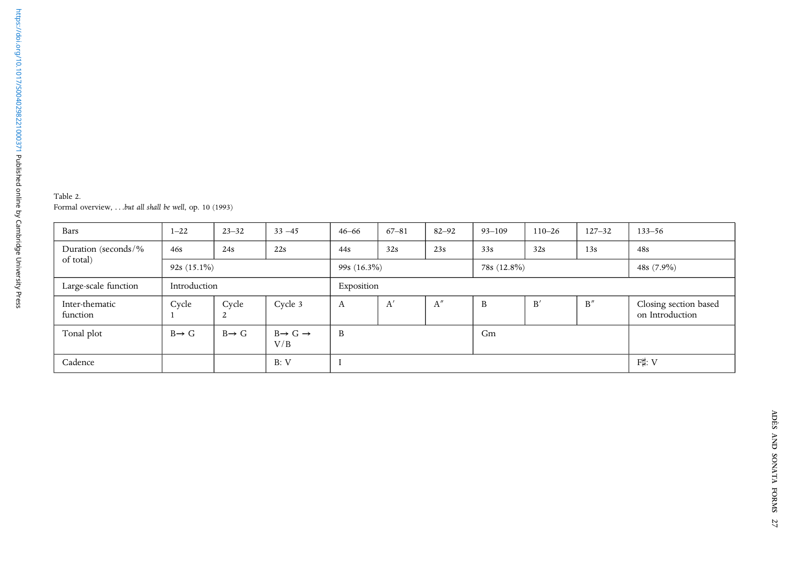<span id="page-7-0"></span>

| Table 2.                                              |  |
|-------------------------------------------------------|--|
| Formal overview, but all shall be well, op. 10 (1993) |  |

| Bars                       | $1 - 22$          | $23 - 32$         | $33 - 45$                            | $46 - 66$         | $67 - 81$    | $82 - 92$ | $93 - 109$  | $110 - 26$ | $127 - 32$    | $133 - 56$                               |
|----------------------------|-------------------|-------------------|--------------------------------------|-------------------|--------------|-----------|-------------|------------|---------------|------------------------------------------|
| Duration (seconds/%        | 46s               | 24s               | 22s                                  | 32s<br>23s<br>44s |              |           | 33s         | 32s        | 13s           | 48s                                      |
| of total)                  | $92s(15.1\%)$     |                   |                                      | 99s $(16.3\%)$    |              |           | 78s (12.8%) |            | 48s $(7.9\%)$ |                                          |
| Large-scale function       | Introduction      |                   |                                      | Exposition        |              |           |             |            |               |                                          |
| Inter-thematic<br>function | Cycle             | Cycle<br>2        | Cycle 3                              | A                 | $A^{\prime}$ | A''       | B           | B'         | B''           | Closing section based<br>on Introduction |
| Tonal plot                 | $B \rightarrow G$ | $B \rightarrow G$ | $B \rightarrow G \rightarrow$<br>V/B | B                 |              |           | Gm          |            |               |                                          |
| Cadence                    |                   |                   | B: V                                 |                   |              |           |             |            |               | F‡: V                                    |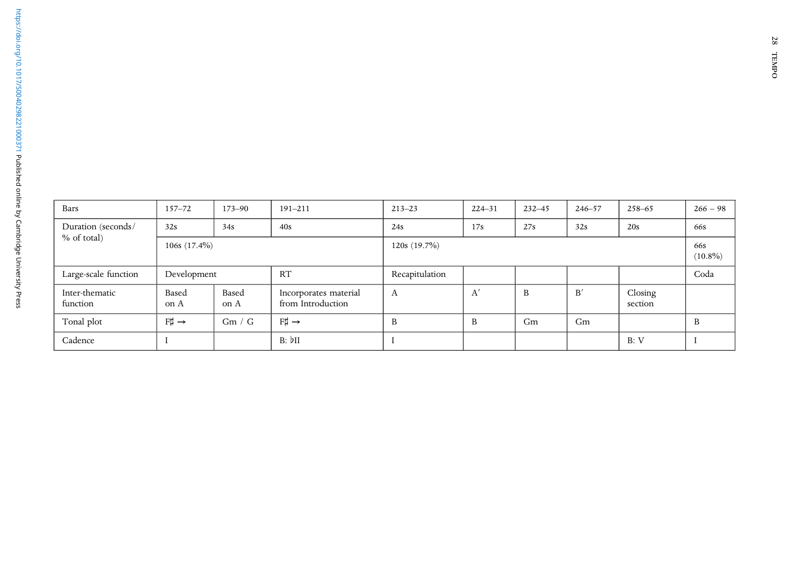| Bars                       | $157 - 72$                                               | $173 - 90$                                                  | $191 - 211$ | $213 - 23$     | $224 - 31$ | $232 - 45$ | $246 - 57$ | $258 - 65$         | $266 - 98$ |  |  |
|----------------------------|----------------------------------------------------------|-------------------------------------------------------------|-------------|----------------|------------|------------|------------|--------------------|------------|--|--|
| Duration (seconds/         | 32s                                                      | 34s                                                         | 40s         | 24s            | 17s        | 27s        | 32s        | 20s                | 66s        |  |  |
| $%$ of total)              | $106s$ $(17.4\%)$                                        |                                                             |             | 120s(19.7%)    |            |            |            |                    |            |  |  |
| Large-scale function       | Development                                              |                                                             | RT          | Recapitulation |            |            |            |                    | Coda       |  |  |
| Inter-thematic<br>function | Based<br>on A                                            | Based<br>Incorporates material<br>from Introduction<br>on A |             | А              | A'         | B          | B'         | Closing<br>section |            |  |  |
| Tonal plot                 | $F\sharp \rightarrow$<br>$F\sharp \rightarrow$<br>Gm / G |                                                             | B           | B              | Gm         | Gm         |            | B                  |            |  |  |
| Cadence                    |                                                          |                                                             | B: bII      |                |            |            |            | B: V               |            |  |  |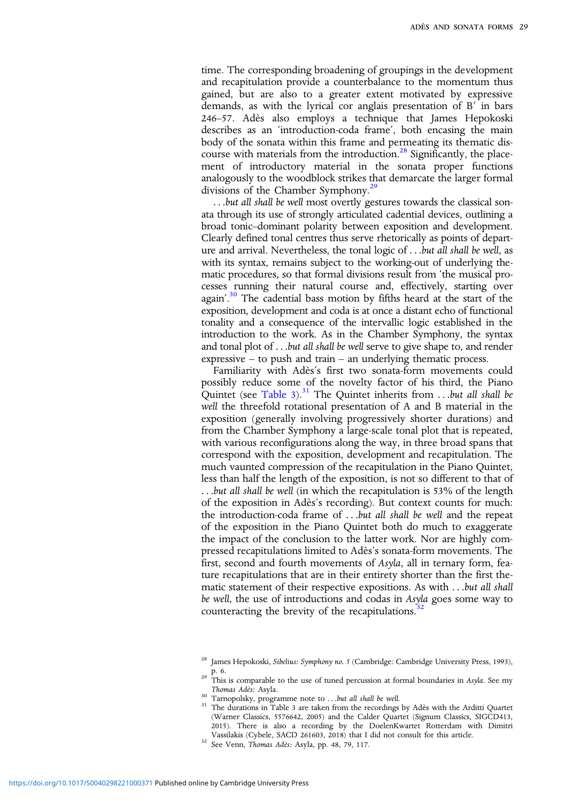time. The corresponding broadening of groupings in the development and recapitulation provide a counterbalance to the momentum thus gained, but are also to a greater extent motivated by expressive demands, as with the lyrical cor anglais presentation of B′ in bars 246–57. Adès also employs a technique that James Hepokoski describes as an 'introduction-coda frame', both encasing the main body of the sonata within this frame and permeating its thematic discourse with materials from the introduction. $28$  Significantly, the placement of introductory material in the sonata proper functions analogously to the woodblock strikes that demarcate the larger formal divisions of the Chamber Symphony.<sup>29</sup>

...but all shall be well most overtly gestures towards the classical sonata through its use of strongly articulated cadential devices, outlining a broad tonic–dominant polarity between exposition and development. Clearly defined tonal centres thus serve rhetorically as points of departure and arrival. Nevertheless, the tonal logic of ...but all shall be well, as with its syntax, remains subject to the working-out of underlying thematic procedures, so that formal divisions result from 'the musical processes running their natural course and, effectively, starting over again'.<sup>30</sup> The cadential bass motion by fifths heard at the start of the exposition, development and coda is at once a distant echo of functional tonality and a consequence of the intervallic logic established in the introduction to the work. As in the Chamber Symphony, the syntax and tonal plot of ...but all shall be well serve to give shape to, and render expressive – to push and train – an underlying thematic process.

Familiarity with Adès's first two sonata-form movements could possibly reduce some of the novelty factor of his third, the Piano Quintet (see [Table 3](#page-10-0)).<sup>31</sup> The Quintet inherits from ...but all shall be well the threefold rotational presentation of A and B material in the exposition (generally involving progressively shorter durations) and from the Chamber Symphony a large-scale tonal plot that is repeated, with various reconfigurations along the way, in three broad spans that correspond with the exposition, development and recapitulation. The much vaunted compression of the recapitulation in the Piano Quintet, less than half the length of the exposition, is not so different to that of ...but all shall be well (in which the recapitulation is 53% of the length of the exposition in Adès's recording). But context counts for much: the introduction-coda frame of ...but all shall be well and the repeat of the exposition in the Piano Quintet both do much to exaggerate the impact of the conclusion to the latter work. Nor are highly compressed recapitulations limited to Adès's sonata-form movements. The first, second and fourth movements of Asyla, all in ternary form, feature recapitulations that are in their entirety shorter than the first thematic statement of their respective expositions. As with ...but all shall be well, the use of introductions and codas in Asyla goes some way to counteracting the brevity of the recapitulations. $32$ 

<sup>&</sup>lt;sup>28</sup> James Hepokoski, Sibelius: Symphony no. 5 (Cambridge: Cambridge University Press, 1993),

p. 6.<br><sup>29</sup> This is comparable to the use of tuned percussion at formal boundaries in Asyla. See my<br>Thomas Ades: Asyla.

Thomas Adès: Asyla. <sup>30</sup> Tarnopolsky, programme note to ...but all shall be well. <sup>31</sup> The durations in Table 3 are taken from the recordings by Adès with the Arditti Quartet (Warner Classics, 5576642, 2005) and the Calder Quartet (Signum Classics, SIGCD413, 2015). There is also a recording by the DoelenKwartet Rotterdam with Dimitri

<sup>&</sup>lt;sup>32</sup> See Venn, Thomas Adès: Asyla, pp. 48, 79, 117.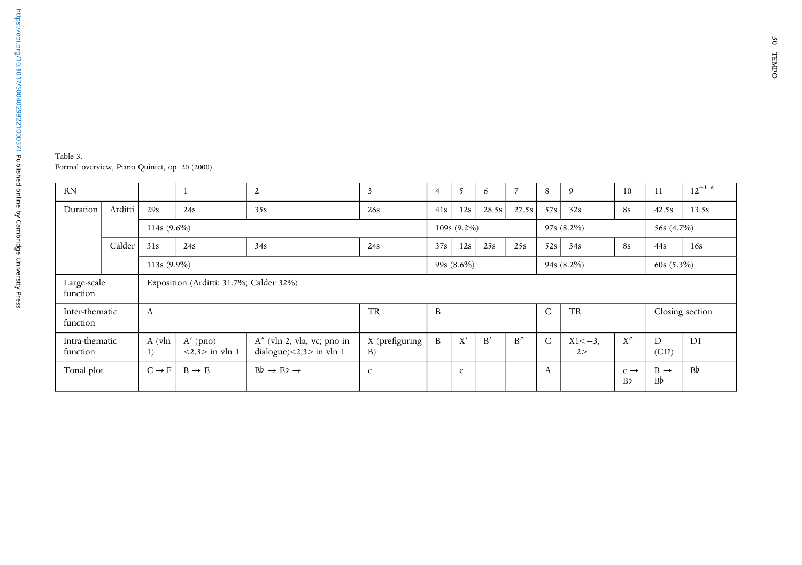<span id="page-10-0"></span>Table 3. Formal overview, Piano Quintet, op. <sup>20</sup> (2000)

| <b>RN</b>                  |         |                   |                                                                                         | 2   |                      | $\overline{4}$                 | 5            | 6     | $\overline{7}$ | 8              | 9                    | 10                          | 11                                | $12^{+1-6}$    |
|----------------------------|---------|-------------------|-----------------------------------------------------------------------------------------|-----|----------------------|--------------------------------|--------------|-------|----------------|----------------|----------------------|-----------------------------|-----------------------------------|----------------|
| Duration                   | Arditti | 29s               | 24s                                                                                     | 35s | 26s                  | 41s                            | 12s          | 28.5s | 27.5s          | 57s            | 32s                  | <b>8s</b>                   | 42.5s                             | 13.5s          |
|                            |         | 114s $(9.6\%)$    |                                                                                         |     | $109s(9.2\%)$        |                                |              |       |                | $97s(8.2\%)$   | 56s $(4.7\%)$        |                             |                                   |                |
|                            | Calder  | 31s               | 24s                                                                                     | 34s | 24s                  | 37s                            | 12s          | 25s   | 25s            | 52s            | 34s                  | <b>8s</b>                   | 44s                               | 16s            |
|                            |         | 113s $(9.9\%)$    |                                                                                         |     |                      | 99s $(8.6\%)$<br>94s $(8.2\%)$ |              |       |                |                |                      |                             | 60s $(5.3\%)$                     |                |
| Large-scale<br>function    |         |                   | Exposition (Arditti: 31.7%; Calder 32%)                                                 |     |                      |                                |              |       |                |                |                      |                             |                                   |                |
| Inter-thematic<br>function |         | А                 |                                                                                         |     | <b>TR</b>            | B                              |              |       |                | C<br><b>TR</b> |                      |                             | Closing section                   |                |
| Intra-thematic<br>function |         | A (vln<br>1)      | $A'$ (pno)<br>A" (vln 2, vla, vc; pno in<br>dialogue)<2,3> in vln 1<br>$<2,3>$ in vln 1 |     | X (prefiguring<br>B) | B                              | X'           | B'    | B''            | $\mathsf{C}$   | $X1 < -3$ ,<br>$-2>$ | X''                         | D<br>(C1?)                        | D <sub>1</sub> |
| Tonal plot                 |         | $C \rightarrow F$ | $Bb \rightarrow Eb \rightarrow$<br>$B \rightarrow E$                                    |     | $\mathsf{C}$         |                                | $\mathsf{C}$ |       |                | A              |                      | $c \rightarrow$<br><b>B</b> | $B \rightarrow$<br>B <sub>b</sub> | B <sub>b</sub> |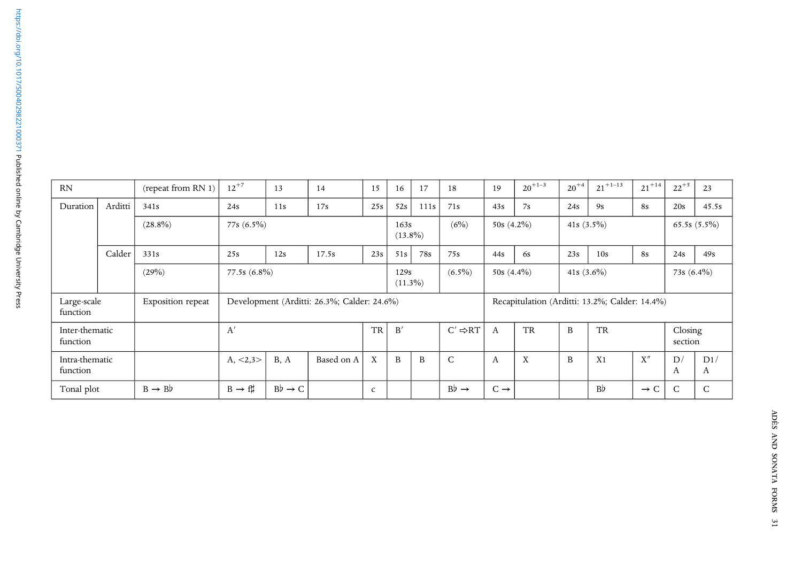| <b>RN</b>                  |         | (repeat from RN 1)                                       | $12^{+7}$          | 13                  | 14                                          | 15                         | 16  | 17                            | 18               | 19                 | $20^{+1-3}$                                    | $20^{+4}$ | $21^{+1-13}$   | $21 + 14$       | $22^{+5}$    | 23           |
|----------------------------|---------|----------------------------------------------------------|--------------------|---------------------|---------------------------------------------|----------------------------|-----|-------------------------------|------------------|--------------------|------------------------------------------------|-----------|----------------|-----------------|--------------|--------------|
| Duration                   | Arditti | 341s                                                     | 24s                | 11s                 | 17s                                         | 25s                        | 52s | 111s                          | 71s              | 43s                | 7s                                             | 24s       | 9s             | <b>8s</b>       | 20s          | 45.5s        |
|                            |         | $(28.8\%)$                                               | 77s (6.5%)         |                     |                                             | (6%)<br>163s<br>$(13.8\%)$ |     | $50s(4.2\%)$                  |                  | 41s $(3.5\%)$      |                                                |           | $65.5s(5.5\%)$ |                 |              |              |
|                            | Calder  | 331s                                                     | 25s                | 12s                 | 17.5s                                       | 23s                        | 51s | 78s                           | 75s              | 44s                | 6s                                             | 23s       | 10s            | <b>8s</b>       | 24s          | 49s          |
|                            |         | $(6.5\%)$<br>(29%)<br>77.5s (6.8%)<br>129s<br>$(11.3\%)$ |                    |                     |                                             |                            |     | $50s(4.4\%)$<br>41s $(3.6\%)$ |                  |                    |                                                |           | 73s $(6.4\%)$  |                 |              |              |
| Large-scale<br>function    |         | Exposition repeat                                        |                    |                     | Development (Arditti: 26.3%; Calder: 24.6%) |                            |     |                               |                  |                    | Recapitulation (Arditti: 13.2%; Calder: 14.4%) |           |                |                 |              |              |
| Inter-thematic<br>function |         | A'<br><b>TR</b><br>B'                                    |                    | $C' \Rightarrow RT$ | $\mathsf{A}$                                | <b>TR</b>                  | B   | <b>TR</b>                     |                  | Closing<br>section |                                                |           |                |                 |              |              |
| Intra-thematic<br>function |         |                                                          | $A, \leq 2,3>$     | B, A                | Based on A                                  | X                          | B   | B                             | $\mathsf{C}$     | A                  | X                                              | B         | X1             | X''             | D/<br>A      | D1/<br>A     |
| Tonal plot                 |         | $B \rightarrow Bb$                                       | $B \rightarrow ff$ | $Bb \rightarrow C$  |                                             | c                          |     |                               | $Bb \rightarrow$ | $C \rightarrow$    |                                                |           | B <sub>b</sub> | $\rightarrow$ C | $\mathsf{C}$ | $\mathsf{C}$ |

 $\blacksquare$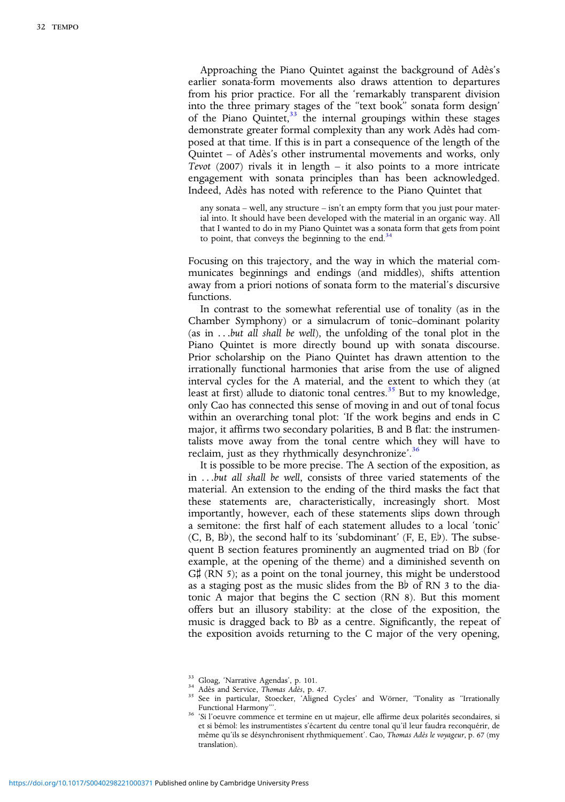Approaching the Piano Quintet against the background of Adès's earlier sonata-form movements also draws attention to departures from his prior practice. For all the 'remarkably transparent division into the three primary stages of the "text book" sonata form design' of the Piano Quintet, $33$  the internal groupings within these stages demonstrate greater formal complexity than any work Adès had composed at that time. If this is in part a consequence of the length of the Quintet – of Adès's other instrumental movements and works, only Tevot (2007) rivals it in length – it also points to a more intricate engagement with sonata principles than has been acknowledged. Indeed, Adès has noted with reference to the Piano Quintet that

any sonata – well, any structure – isn't an empty form that you just pour material into. It should have been developed with the material in an organic way. All that I wanted to do in my Piano Quintet was a sonata form that gets from point to point, that conveys the beginning to the end. $34$ 

Focusing on this trajectory, and the way in which the material communicates beginnings and endings (and middles), shifts attention away from a priori notions of sonata form to the material's discursive functions.

In contrast to the somewhat referential use of tonality (as in the Chamber Symphony) or a simulacrum of tonic–dominant polarity (as in ...but all shall be well), the unfolding of the tonal plot in the Piano Quintet is more directly bound up with sonata discourse. Prior scholarship on the Piano Quintet has drawn attention to the irrationally functional harmonies that arise from the use of aligned interval cycles for the A material, and the extent to which they (at least at first) allude to diatonic tonal centres.<sup>35</sup> But to my knowledge, only Cao has connected this sense of moving in and out of tonal focus within an overarching tonal plot: 'If the work begins and ends in C major, it affirms two secondary polarities, B and B flat: the instrumentalists move away from the tonal centre which they will have to reclaim, just as they rhythmically desynchronize'.<sup>36</sup>

It is possible to be more precise. The A section of the exposition, as in ...but all shall be well, consists of three varied statements of the material. An extension to the ending of the third masks the fact that these statements are, characteristically, increasingly short. Most importantly, however, each of these statements slips down through a semitone: the first half of each statement alludes to a local 'tonic' (C, B, B♭), the second half to its 'subdominant' (F, E, E♭). The subsequent B section features prominently an augmented triad on B♭ (for example, at the opening of the theme) and a diminished seventh on G‡ (RN 5); as a point on the tonal journey, this might be understood as a staging post as the music slides from the B♭ of RN 3 to the diatonic A major that begins the C section (RN 8). But this moment offers but an illusory stability: at the close of the exposition, the music is dragged back to B♭ as a centre. Significantly, the repeat of the exposition avoids returning to the C major of the very opening,

<sup>&</sup>lt;sup>33</sup> Gloag, 'Narrative Agendas', p. 101.<br><sup>34</sup> Adès and Service, *Thomas Adès*, p. 47.<br><sup>35</sup> See in particular, Stoecker, 'Aligned Cycles' and Wörner, 'Tonality as "Irrationally<br>Functional Harmony''.

Functional Harmony"'. <sup>36</sup> 'Si l'oeuvre commence et termine en ut majeur, elle affirme deux polarités secondaires, si et si bémol: les instrumentistes s'écartent du centre tonal qu'il leur faudra reconquérir, de même qu'ils se désynchronisent rhythmiquement'. Cao, Thomas Adès le voyageur, p. 67 (my translation).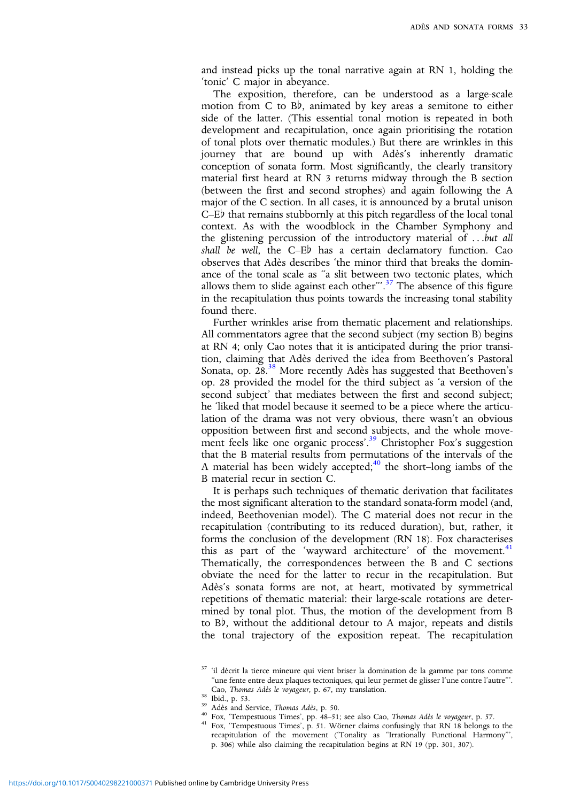and instead picks up the tonal narrative again at RN 1, holding the 'tonic' C major in abeyance.

The exposition, therefore, can be understood as a large-scale motion from C to B♭, animated by key areas a semitone to either side of the latter. (This essential tonal motion is repeated in both development and recapitulation, once again prioritising the rotation of tonal plots over thematic modules.) But there are wrinkles in this journey that are bound up with Adès's inherently dramatic conception of sonata form. Most significantly, the clearly transitory material first heard at RN 3 returns midway through the B section (between the first and second strophes) and again following the A major of the C section. In all cases, it is announced by a brutal unison C–E♭ that remains stubbornly at this pitch regardless of the local tonal context. As with the woodblock in the Chamber Symphony and the glistening percussion of the introductory material of ...but all shall be well, the C–E♭ has a certain declamatory function. Cao observes that Adès describes 'the minor third that breaks the dominance of the tonal scale as "a slit between two tectonic plates, which allows them to slide against each other".<sup>37</sup> The absence of this figure in the recapitulation thus points towards the increasing tonal stability found there.

Further wrinkles arise from thematic placement and relationships. All commentators agree that the second subject (my section B) begins at RN 4; only Cao notes that it is anticipated during the prior transition, claiming that Adès derived the idea from Beethoven's Pastoral Sonata, op.  $28.^{38}$  More recently Adès has suggested that Beethoven's op. 28 provided the model for the third subject as 'a version of the second subject' that mediates between the first and second subject; he 'liked that model because it seemed to be a piece where the articulation of the drama was not very obvious, there wasn't an obvious opposition between first and second subjects, and the whole movement feels like one organic process'.<sup>39</sup> Christopher Fox's suggestion that the B material results from permutations of the intervals of the A material has been widely accepted;<sup>40</sup> the short–long iambs of the B material recur in section C.

It is perhaps such techniques of thematic derivation that facilitates the most significant alteration to the standard sonata-form model (and, indeed, Beethovenian model). The C material does not recur in the recapitulation (contributing to its reduced duration), but, rather, it forms the conclusion of the development (RN 18). Fox characterises this as part of the 'wayward architecture' of the movement. $41$ Thematically, the correspondences between the B and C sections obviate the need for the latter to recur in the recapitulation. But Adès's sonata forms are not, at heart, motivated by symmetrical repetitions of thematic material: their large-scale rotations are determined by tonal plot. Thus, the motion of the development from B to B♭, without the additional detour to A major, repeats and distils the tonal trajectory of the exposition repeat. The recapitulation

- 
- 
- 38 Ibid., p. 53.<br>
<sup>39</sup> Adès and Service, *Thomas Adès*, p. 50.<br>
<sup>40</sup> Fox, "Tempestuous Times', pp. 48–51; see also Cao, *Thomas Adès le voyageur*, p. 57.<br>
<sup>41</sup> Fox, "Tempestuous Times', p. 51. Wörner claims confusingly tha recapitulation of the movement ('Tonality as "Irrationally Functional Harmony"', p. 306) while also claiming the recapitulation begins at RN 19 (pp. 301, 307).

<sup>&</sup>lt;sup>37</sup> 'il décrit la tierce mineure qui vient briser la domination de la gamme par tons comme "une fente entre deux plaques tectoniques, qui leur permet de glisser l'une contre l'autre"'.<br>Cao, Thomas Adès le voyageur, p. 67, my translation.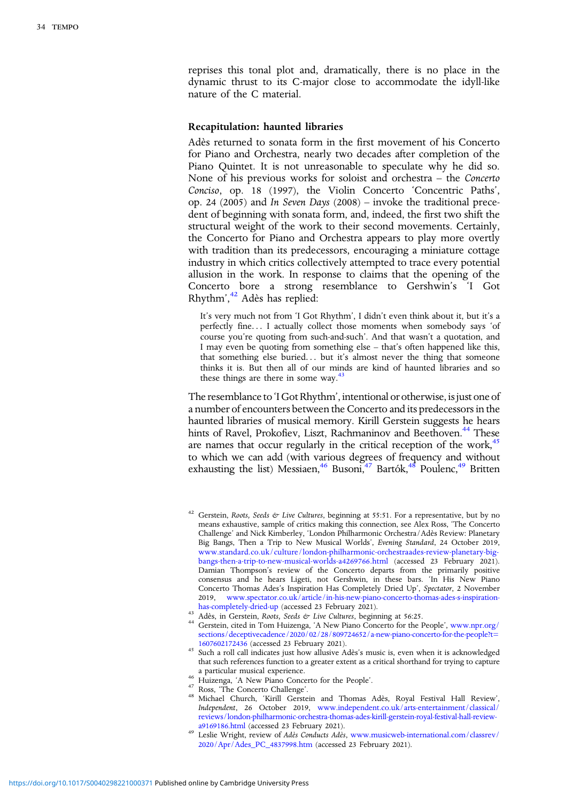reprises this tonal plot and, dramatically, there is no place in the dynamic thrust to its C-major close to accommodate the idyll-like nature of the C material.

## Recapitulation: haunted libraries

Adès returned to sonata form in the first movement of his Concerto for Piano and Orchestra, nearly two decades after completion of the Piano Quintet. It is not unreasonable to speculate why he did so. None of his previous works for soloist and orchestra – the Concerto Conciso, op. 18 (1997), the Violin Concerto 'Concentric Paths', op. 24 (2005) and In Seven Days (2008) – invoke the traditional precedent of beginning with sonata form, and, indeed, the first two shift the structural weight of the work to their second movements. Certainly, the Concerto for Piano and Orchestra appears to play more overtly with tradition than its predecessors, encouraging a miniature cottage industry in which critics collectively attempted to trace every potential allusion in the work. In response to claims that the opening of the Concerto bore a strong resemblance to Gershwin's 'I Got Rhythm', <sup>42</sup> Adès has replied:

It's very much not from 'I Got Rhythm', I didn't even think about it, but it's a perfectly fine... I actually collect those moments when somebody says 'of course you're quoting from such-and-such'. And that wasn't a quotation, and I may even be quoting from something else – that's often happened like this, that something else buried... but it's almost never the thing that someone thinks it is. But then all of our minds are kind of haunted libraries and so these things are there in some way.<sup>4</sup>

The resemblance to 'I Got Rhythm', intentional or otherwise, is just one of a number of encounters between the Concerto and its predecessors in the haunted libraries of musical memory. Kirill Gerstein suggests he hears hints of Ravel, Prokofiev, Liszt, Rachmaninov and Beethoven.<sup>44</sup> These are names that occur regularly in the critical reception of the work, $45$ to which we can add (with various degrees of frequency and without exhausting the list) Messiaen, $46$  Busoni, $47$  Bartók, $48$  Poulenc, $49$  Britten

<sup>&</sup>lt;sup>42</sup> Gerstein, Roots, Seeds & Live Cultures, beginning at 55:51. For a representative, but by no means exhaustive, sample of critics making this connection, see Alex Ross, 'The Concerto Challenge' and Nick Kimberley, 'London Philharmonic Orchestra/Adès Review: Planetary Big Bangs, Then a Trip to New Musical Worlds', Evening Standard, 24 October 2019, [www.standard.co.uk/culture/london-philharmonic-orchestraades-review-planetary-big](https://www.standard.co.uk/culture/london-philharmonic-orchestraades-review-planetary-big-bangs-then-a-trip-to-new-musical-worlds-a4269766.html)[bangs-then-a-trip-to-new-musical-worlds-a4269766.html](https://www.standard.co.uk/culture/london-philharmonic-orchestraades-review-planetary-big-bangs-then-a-trip-to-new-musical-worlds-a4269766.html) (accessed 23 February 2021). Damian Thompson's review of the Concerto departs from the primarily positive consensus and he hears Ligeti, not Gershwin, in these bars. 'In His New Piano Concerto Thomas Ades's Inspiration Has Completely Dried Up', Spectator, 2 November 2019, www.spectator.co.uk/article/in-his-new-piano-concerto-thomas-ades-s-inspiration-<br>has-completely-dried-up (accessed 23 February 2021).

Adès, in Gerstein, Roots, Seeds & Live Cultures, beginning at 56:25.<br><sup>44</sup> Gerstein, cited in Tom Huizenga, 'A New Piano Concerto for the People', [www.npr.org/](https://www.npr.org/sections/deceptivecadence/2020/02/28/809724652/a-new-piano-concerto-for-the-people?t=1607602172436) [sections/deceptivecadence/2020/02/28/809724652/a-new-piano-concerto-for-the-people?t=](https://www.npr.org/sections/deceptivecadence/2020/02/28/809724652/a-new-piano-concerto-for-the-people?t=1607602172436)1607602172436 (accessed 23 February 2021).

<sup>&</sup>lt;sup>45</sup> Such a roll call indicates just how allusive Adès's music is, even when it is acknowledged that such references function to a greater extent as a critical shorthand for trying to capture

<sup>&</sup>lt;sup>46</sup> Huizenga, 'A New Piano Concerto for the People'.<br><sup>47</sup> Ross, 'The Concerto Challenge'.<br><sup>48</sup> Michael Church, 'Kirill Gerstein and Thomas Adès, Royal Festival Hall Review', Independent, 26 October 2019, [www.independent.co.uk/arts-entertainment/classical/](https://www.independent.co.uk/arts-entertainment/classical/reviews/london-philharmonic-orchestra-thomas-ades-kirill-gerstein-royal-festival-hall-review-a9169186.html) [reviews/london-philharmonic-orchestra-thomas-ades-kirill-gerstein-royal-festival-hall-review-](https://www.independent.co.uk/arts-entertainment/classical/reviews/london-philharmonic-orchestra-thomas-ades-kirill-gerstein-royal-festival-hall-review-a9169186.html)

<sup>&</sup>lt;sup>49</sup> Leslie Wright, review of Adès Conducts Adès, [www.musicweb-international.com/classrev/](https://www.musicweb-international.com/classrev/2020/Apr/Ades_PC_4837998.htm) [2020/Apr/Ades\\_PC\\_4837998.htm](https://www.musicweb-international.com/classrev/2020/Apr/Ades_PC_4837998.htm) (accessed 23 February 2021).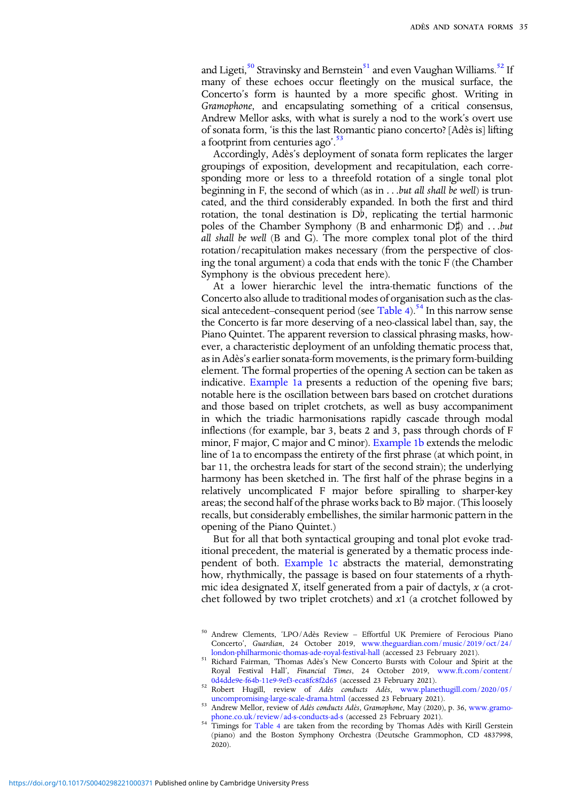and Ligeti,<sup>50</sup> Stravinsky and Bernstein<sup>51</sup> and even Vaughan Williams.<sup>52</sup> If many of these echoes occur fleetingly on the musical surface, the Concerto's form is haunted by a more specific ghost. Writing in Gramophone, and encapsulating something of a critical consensus, Andrew Mellor asks, with what is surely a nod to the work's overt use of sonata form, 'is this the last Romantic piano concerto? [Adès is] lifting a footprint from centuries ago'.<sup>53</sup>

Accordingly, Adès's deployment of sonata form replicates the larger groupings of exposition, development and recapitulation, each corresponding more or less to a threefold rotation of a single tonal plot beginning in F, the second of which (as in ...but all shall be well) is truncated, and the third considerably expanded. In both the first and third rotation, the tonal destination is  $D\bar{b}$ , replicating the tertial harmonic poles of the Chamber Symphony (B and enharmonic D♯) and ...but all shall be well (B and G). The more complex tonal plot of the third rotation/recapitulation makes necessary (from the perspective of closing the tonal argument) a coda that ends with the tonic F (the Chamber Symphony is the obvious precedent here).

At a lower hierarchic level the intra-thematic functions of the Concerto also allude to traditional modes of organisation such as the clas-sical antecedent–consequent period (see [Table 4\)](#page-16-0).<sup>54</sup> In this narrow sense the Concerto is far more deserving of a neo-classical label than, say, the Piano Quintet. The apparent reversion to classical phrasing masks, however, a characteristic deployment of an unfolding thematic process that, as in Adès's earlier sonata-form movements, is the primary form-building element. The formal properties of the opening A section can be taken as indicative. [Example 1a](#page-18-0) presents a reduction of the opening five bars; notable here is the oscillation between bars based on crotchet durations and those based on triplet crotchets, as well as busy accompaniment in which the triadic harmonisations rapidly cascade through modal inflections (for example, bar 3, beats 2 and 3, pass through chords of F minor, F major, C major and C minor). [Example 1b](#page-18-0) extends the melodic line of 1a to encompass the entirety of the first phrase (at which point, in bar 11, the orchestra leads for start of the second strain); the underlying harmony has been sketched in. The first half of the phrase begins in a relatively uncomplicated F major before spiralling to sharper-key areas; the second half of the phrase works back to B♭ major. (This loosely recalls, but considerably embellishes, the similar harmonic pattern in the opening of the Piano Quintet.)

But for all that both syntactical grouping and tonal plot evoke traditional precedent, the material is generated by a thematic process independent of both. [Example 1c](#page-18-0) abstracts the material, demonstrating how, rhythmically, the passage is based on four statements of a rhythmic idea designated X, itself generated from a pair of dactyls,  $x$  (a crotchet followed by two triplet crotchets) and  $x1$  (a crotchet followed by

<sup>50</sup> Andrew Clements, 'LPO/Adès Review – Effortful UK Premiere of Ferocious Piano Concerto', Guardian, 24 October 2019, [www.theguardian.com/music/2019/oct/24/](https://www.theguardian.com/music/2019/oct/24/london-philharmonic-thomas-ade-royal-festival-hall)

<sup>&</sup>lt;sup>51</sup> Richard-Fairman, 'Thomas-Adès's New Concerto Bursts with Colour and Spirit at the Royal Festival Hall', Financial Times, 24 October 2019, [www.ft.com/content/](https://www.ft.com/content/0d4dde9e-f64b-11e9-9ef3-eca8fc8f2d65)

<sup>&</sup>lt;sup>52</sup> Robert Hugill, review of Adès conducts Adès, [www.planethugill.com/2020/05/](https://www.planethugill.com/2020/05/uncompromising-large-scale-drama.html)<br>uncompromising-large-scale-drama.html (accessed 23 February 2021).

<sup>53</sup> Andrew Mellor, review of Adès conducts Adès, Gramophone, May (2020), p. 36, [www.gramo](https://www.gramophone.co.uk/review/ad-s-conducts-ad-s)[phone.co.uk/review/ad-s-conducts-ad-s](https://www.gramophone.co.uk/review/ad-s-conducts-ad-s) (accessed 23 February 2021).<br><sup>54</sup> Timings for [Table 4](#page-16-0) are taken from the recording by Thomas Adès with Kirill Gerstein

<sup>(</sup>piano) and the Boston Symphony Orchestra (Deutsche Grammophon, CD 4837998, 2020).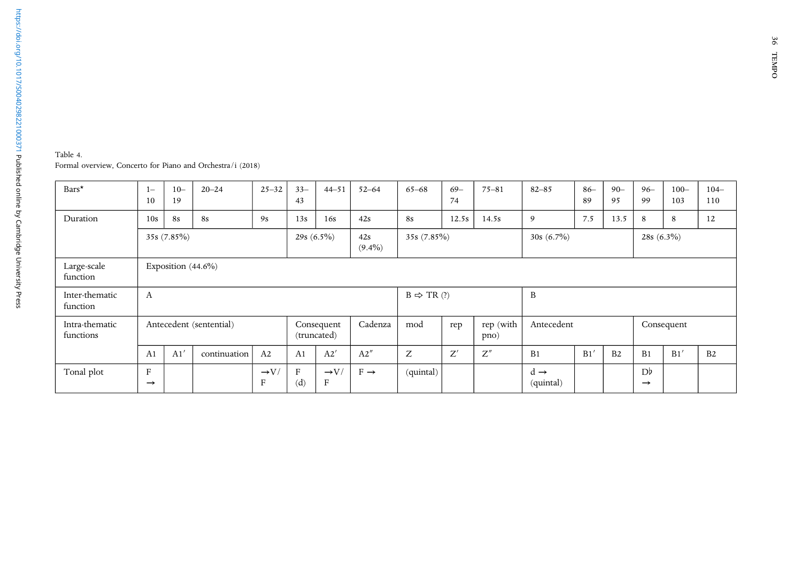<span id="page-16-0"></span>

| Table 4.                                                   |  |
|------------------------------------------------------------|--|
| Formal overview, Concerto for Piano and Orchestra/i (2018) |  |

| Bars*                       | $1 -$<br>10                   | $10 -$<br>19          | $20 - 24$               | $25 - 32$             | $33 -$<br>43   | $44 - 51$                       | $52 - 64$        | $65 - 68$             | $69-$<br>74                   | $75 - 81$         | $82 - 85$                    | $86-$<br>89 | $90 -$<br>95   | $96 -$<br>99                    | $100 -$<br>103 | $104-$<br>110  |
|-----------------------------|-------------------------------|-----------------------|-------------------------|-----------------------|----------------|---------------------------------|------------------|-----------------------|-------------------------------|-------------------|------------------------------|-------------|----------------|---------------------------------|----------------|----------------|
| Duration                    | 10s                           | <b>8s</b>             | <b>8s</b>               | 9s                    | 13s            | 16s                             | 42s              | <b>8s</b>             | 12.5s                         | 14.5s             | 9                            | 7.5         | 13.5           | 8                               | 8              | 12             |
|                             | 35s (7.85%)                   |                       |                         |                       | 29s $(6.5\%)$  |                                 | 42s<br>$(9.4\%)$ | 35s (7.85%)           | $30s(6.7\%)$<br>28s $(6.3\%)$ |                   |                              |             |                |                                 |                |                |
| Large-scale<br>function     |                               | Exposition $(44.6\%)$ |                         |                       |                |                                 |                  |                       |                               |                   |                              |             |                |                                 |                |                |
| Inter-thematic<br>function  | А                             |                       |                         |                       |                |                                 |                  | $B \Rightarrow TR(?)$ |                               |                   | B                            |             |                |                                 |                |                |
| Intra-thematic<br>functions |                               |                       | Antecedent (sentential) |                       |                | Consequent<br>(truncated)       | Cadenza          | mod                   | rep                           | rep (with<br>pno) | Antecedent                   |             |                |                                 | Consequent     |                |
|                             | A <sub>1</sub>                | A1'                   | continuation            | A2                    | A <sub>1</sub> | A2'                             | A2''             | Z                     | Z'                            | Z''               | B1                           | B1'         | B <sub>2</sub> | B <sub>1</sub>                  | B1'            | B <sub>2</sub> |
| Tonal plot                  | $\mathbf{F}$<br>$\rightarrow$ |                       |                         | $\rightarrow$ V/<br>F | F<br>(d)       | $\rightarrow$ V/<br>$\mathbf F$ | $F \rightarrow$  | (quintal)             |                               |                   | $d \rightarrow$<br>(quintal) |             |                | D <sup>b</sup><br>$\rightarrow$ |                |                |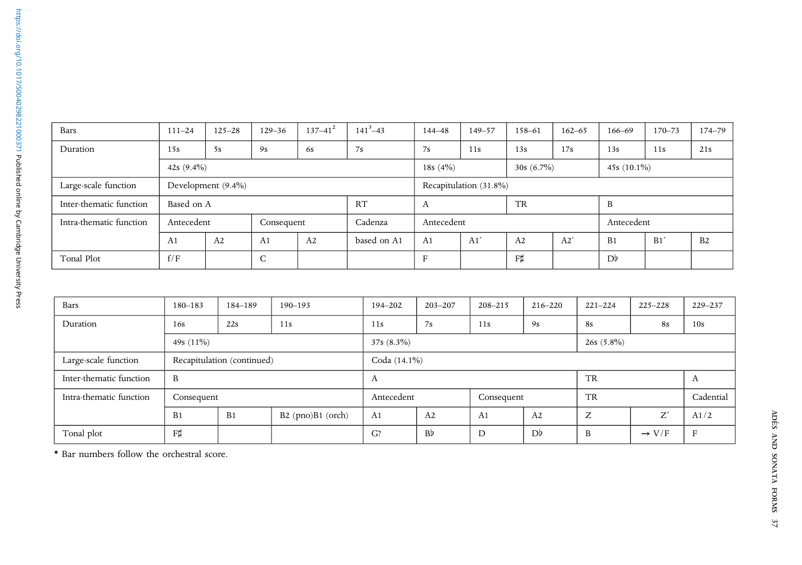| Bars                    | $111 - 24$    | $125 - 28$         | $129 - 36$      | $137 - 41^2$ | $141^{3} - 43$ | $144 - 48$             | $149 - 57$ | 158-61         | $162 - 65$ | $166 - 69$     | $170 - 73$ | 174-79 |  |
|-------------------------|---------------|--------------------|-----------------|--------------|----------------|------------------------|------------|----------------|------------|----------------|------------|--------|--|
| Duration                | 15s           | 5s                 | 9s              | 6s           | 7s             | 7s                     | 11s        | 13s            | 17s        | 13s            | 11s        | 21s    |  |
|                         | 42s $(9.4\%)$ |                    |                 |              |                | 18s $(4%)$             |            | $30s(6.7\%)$   |            | 45s $(10.1\%)$ |            |        |  |
| Large-scale function    |               | Development (9.4%) |                 |              |                | Recapitulation (31.8%) |            |                |            |                |            |        |  |
| Inter-thematic function | Based on A    |                    |                 |              | RT             | <b>TR</b><br>А         |            |                |            | B              |            |        |  |
| Intra-thematic function | Antecedent    |                    | Consequent      |              | Cadenza        | Antecedent             |            |                |            | Antecedent     |            |        |  |
|                         | A1            | A2                 | A <sub>1</sub>  | A2           | based on A1    | A <sub>1</sub>         | A1'        | A <sub>2</sub> | A2'        | B <sub>1</sub> | B1'        | B2     |  |
| Tonal Plot              | f/F           |                    | $\sqrt{2}$<br>◡ |              |                | $\mathbf F$            |            | F#             |            | D <sup>b</sup> |            |        |  |

| Bars                    | $180 - 183$    | 184-189                                  | $190 - 193$ | 194-202          | $203 - 207$ | $208 - 215$    | $216 - 220$    | $221 - 224$  | $225 - 228$       | 229-237      |  |  |  |  |
|-------------------------|----------------|------------------------------------------|-------------|------------------|-------------|----------------|----------------|--------------|-------------------|--------------|--|--|--|--|
| Duration                | 16s            | 22s<br>11s                               |             | 7s<br>11s<br>11s |             |                | 9s             | <b>8s</b>    | <b>8s</b>         | 10s          |  |  |  |  |
|                         | 49s $(11\%)$   |                                          |             | $37s(8.3\%)$     |             |                |                | $26s(5.8\%)$ |                   |              |  |  |  |  |
| Large-scale function    |                | Recapitulation (continued)               |             | Coda (14.1%)     |             |                |                |              |                   |              |  |  |  |  |
| Inter-thematic function | B              |                                          |             | A                |             |                |                | <b>TR</b>    |                   | A            |  |  |  |  |
| Intra-thematic function | Consequent     |                                          |             | Antecedent       |             | Consequent     |                | <b>TR</b>    |                   | Cadential    |  |  |  |  |
|                         | B <sub>1</sub> | B <sub>1</sub><br>$B2$ (pno) $B1$ (orch) |             | A1               | A2          | A <sub>1</sub> | A2             | Z            | Z'                | A1/2         |  |  |  |  |
| Tonal plot              | F#             |                                          |             | G?               | Bb          | D              | D <sup>b</sup> | B            | $\rightarrow$ V/F | $\mathbf{F}$ |  |  |  |  |

\* Bar numbers follow the orchestral score.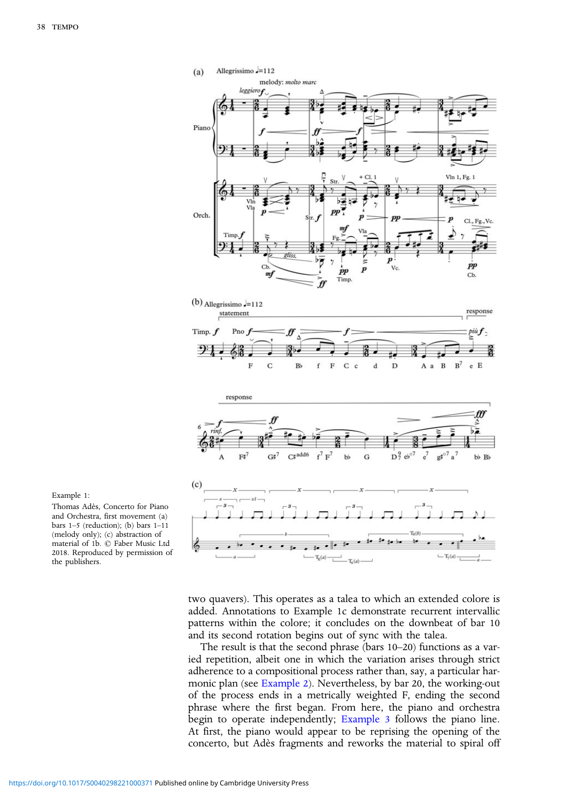<span id="page-18-0"></span>

Example 1:

Thomas Adès, Concerto for Piano and Orchestra, first movement (a) bars 1–5 (reduction); (b) bars 1–11 (melody only); (c) abstraction of material of 1b. © Faber Music Ltd 2018. Reproduced by permission of the publishers.

> two quavers). This operates as a talea to which an extended colore is added. Annotations to Example 1c demonstrate recurrent intervallic patterns within the colore; it concludes on the downbeat of bar 10 and its second rotation begins out of sync with the talea.

> The result is that the second phrase (bars 10–20) functions as a varied repetition, albeit one in which the variation arises through strict adherence to a compositional process rather than, say, a particular harmonic plan (see [Example 2](#page-19-0)). Nevertheless, by bar 20, the working-out of the process ends in a metrically weighted F, ending the second phrase where the first began. From here, the piano and orchestra begin to operate independently; [Example 3](#page-19-0) follows the piano line. At first, the piano would appear to be reprising the opening of the concerto, but Adès fragments and reworks the material to spiral off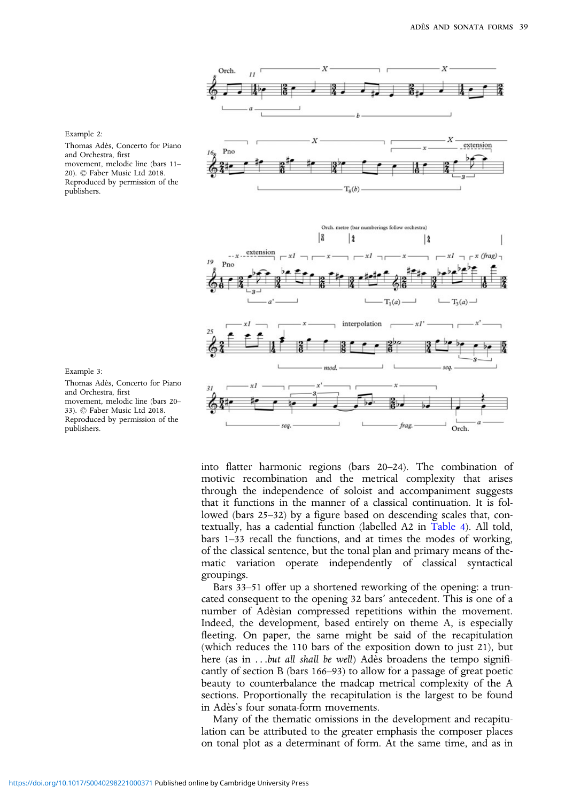

into flatter harmonic regions (bars 20–24). The combination of motivic recombination and the metrical complexity that arises through the independence of soloist and accompaniment suggests that it functions in the manner of a classical continuation. It is followed (bars 25–32) by a figure based on descending scales that, contextually, has a cadential function (labelled A2 in [Table 4](#page-16-0)). All told, bars 1–33 recall the functions, and at times the modes of working, of the classical sentence, but the tonal plan and primary means of thematic variation operate independently of classical syntactical groupings.

Bars 33–51 offer up a shortened reworking of the opening: a truncated consequent to the opening 32 bars' antecedent. This is one of a number of Adèsian compressed repetitions within the movement. Indeed, the development, based entirely on theme A, is especially fleeting. On paper, the same might be said of the recapitulation (which reduces the 110 bars of the exposition down to just 21), but here (as in ...but all shall be well) Adès broadens the tempo significantly of section B (bars 166–93) to allow for a passage of great poetic beauty to counterbalance the madcap metrical complexity of the A sections. Proportionally the recapitulation is the largest to be found in Adès's four sonata-form movements.

Many of the thematic omissions in the development and recapitulation can be attributed to the greater emphasis the composer places on tonal plot as a determinant of form. At the same time, and as in

<span id="page-19-0"></span>Example 2:

Thomas Adès, Concerto for Piano and Orchestra, first movement, melodic line (bars 11– 20). © Faber Music Ltd 2018. Reproduced by permission of the publishers.



Thomas Adès, Concerto for Piano and Orchestra, first movement, melodic line (bars 20– 33). © Faber Music Ltd 2018. Reproduced by permission of the publishers.